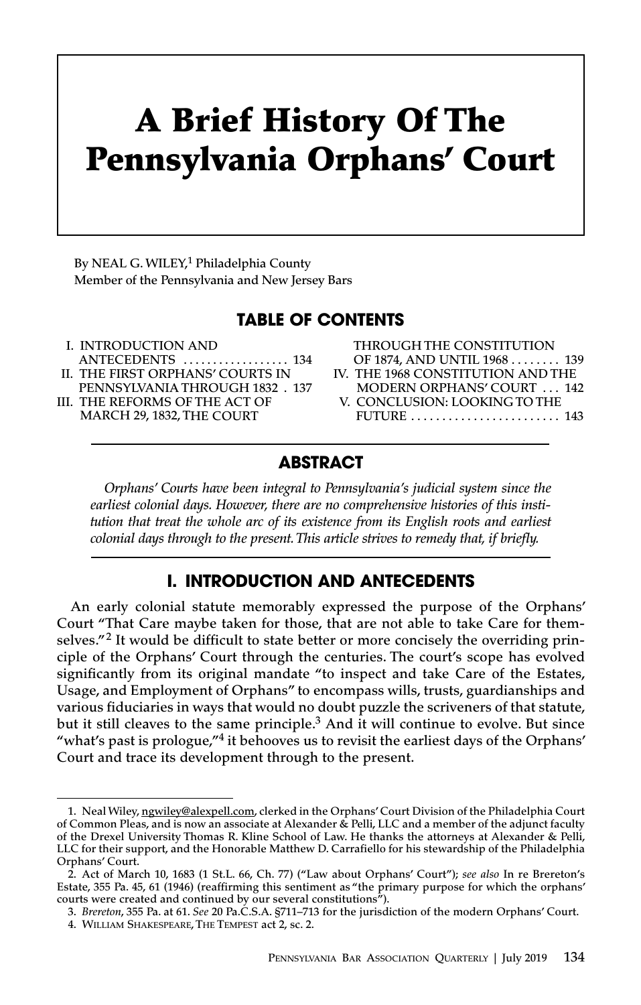# **A Brief History Of The Pennsylvania Orphans' Court**

**By NEAL G.WILEY, <sup>1</sup> Philadelphia County Member of the Pennsylvania and New Jersey Bars**

# **TABLE OF CONTENTS**

- **I. INTRODUCTION AND ANTECEDENTS . . . . . . . . . . . . . . . . . . 134 II. THE FIRST ORPHANS' COURTS IN**
- **PENNSYLVANIA THROUGH 1832 . 137**
- **III. THE REFORMS OF THE ACT OF MARCH 29, 1832,THE COURT**

| <b>THROUGH THE CONSTITUTION</b>   |  |
|-----------------------------------|--|
| OF 1874, AND UNTIL 1968  139      |  |
| IV. THE 1968 CONSTITUTION AND THE |  |
| <b>MODERN ORPHANS' COURT  142</b> |  |
| V. CONCLUSION: LOOKING TO THE     |  |
| FUTURE  143                       |  |
|                                   |  |

# **ABSTRACT**

*Orphans' Courts have been integral to Pennsylvania's judicial system since the earliest colonial days. However, there are no comprehensive histories of this institution that treat the whole arc of its existence from its English roots and earliest colonial days through to the present.This article strives to remedy that, if briefly.*

# **I. INTRODUCTION AND ANTECEDENTS**

**An early colonial statute memorably expressed the purpose of the Orphans' Court "That Care maybe taken for those, that are not able to take Care for themselves."<sup>2</sup> It would be difficult to state better or more concisely the overriding principle of the Orphans' Court through the centuries. The court's scope has evolved significantly from its original mandate "to inspect and take Care of the Estates, Usage, and Employment of Orphans" to encompass wills, trusts, guardianships and various fiduciaries in ways that would no doubt puzzle the scriveners of that statute, but it still cleaves to the same principle. <sup>3</sup> And it will continue to evolve. But since "what's past is prologue,"<sup>4</sup> it behooves us to revisit the earliest days of the Orphans' Court and trace its development through to the present.**

**<sup>1.</sup> Neal Wiley, ngwiley@alexpell.com, clerked in the Orphans'Court Division of the Philadelphia Court** of Common Pleas, and is now an associate at Alexander & Pelli, LLC and a member of the adjunct faculty of the Drexel University Thomas R. Kline School of Law. He thanks the attorneys at Alexander & Pelli, **LLC for their support, and the Honorable Matthew D. Carrafiello for his stewardship of the Philadelphia Orphans' Court.**

<sup>2.</sup> Act of March 10, 1683 (1 St.L. 66, Ch. 77) ("Law about Orphans' Court"); see also In re Brereton's **Estate, 355 Pa. 45, 61 (1946) (reaffirming this sentiment as "the primary purpose for which the orphans' courts were created and continued by our several constitutions").**

<sup>3.</sup> Brereton, 355 Pa. at 61. See 20 Pa.C.S.A. §711-713 for the jurisdiction of the modern Orphans' Court. **4. WILLIAM SHAKESPEARE,THE TEMPEST act 2, sc. 2.**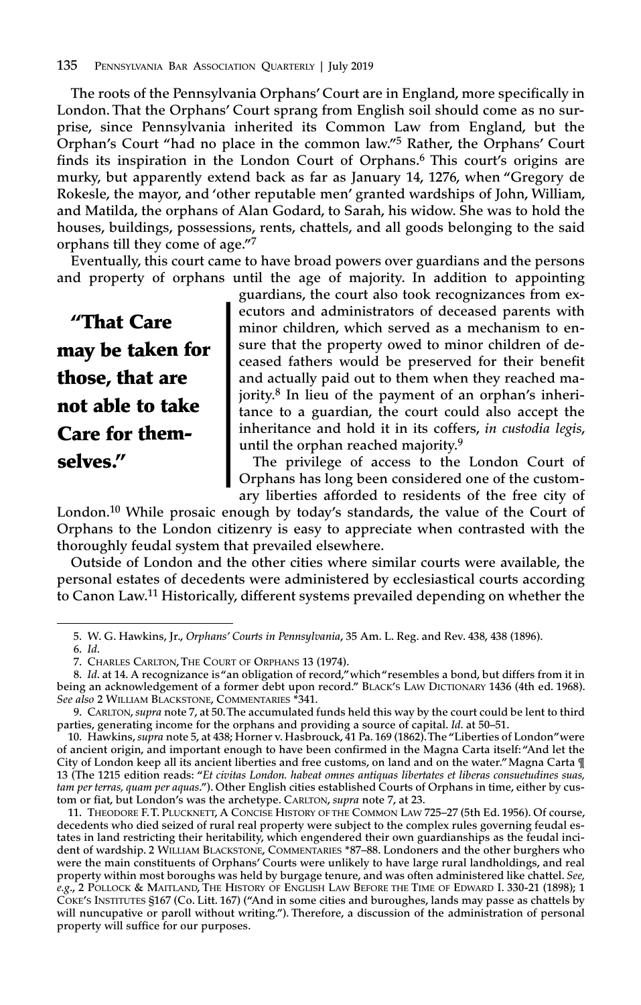**The roots of the Pennsylvania Orphans' Court are in England, more specifically in London. That the Orphans' Court sprang from English soil should come as no surprise, since Pennsylvania inherited its Common Law from England, but the Orphan's Court "had no place in the common law."<sup>5</sup> Rather, the Orphans' Court finds its inspiration in the London Court of Orphans. <sup>6</sup> This court's origins are murky, but apparently extend back as far as January 14, 1276, when "Gregory de Rokesle, the mayor, and 'other reputable men' granted wardships of John, William, and Matilda, the orphans of Alan Godard, to Sarah, his widow. She was to hold the houses, buildings, possessions, rents, chattels, and all goods belonging to the said orphans till they come of age."<sup>7</sup>**

**Eventually, this court came to have broad powers over guardians and the persons and property of orphans until the age of majority. In addition to appointing**

**"That Care may be taken for those, that are not able to take Care for themselves."**

**guardians, the court also took recognizances from executors and administrators of deceased parents with minor children, which served as a mechanism to ensure that the property owed to minor children of deceased fathers would be preserved for their benefit and actually paid out to them when they reached majority. <sup>8</sup> In lieu of the payment of an orphan's inheritance to a guardian, the court could also accept the inheritance and hold it in its coffers,** *in custodia legis***, until the orphan reached majority. 9**

**The privilege of access to the London Court of Orphans has long been considered one of the customary liberties afforded to residents of the free city of**

**London. <sup>10</sup> While prosaic enough by today's standards, the value of the Court of Orphans to the London citizenry is easy to appreciate when contrasted with the thoroughly feudal system that prevailed elsewhere.**

**Outside of London and the other cities where similar courts were available, the personal estates of decedents were administered by ecclesiastical courts according to Canon Law. <sup>11</sup> Historically, different systems prevailed depending on whether the**

<sup>5.</sup> W. G. Hawkins, Jr., Orphans' Courts in Pennsylvania, 35 Am. L. Reg. and Rev. 438, 438 (1896).

**<sup>6.</sup>** *Id***.**

**<sup>7.</sup> CHARLES CARLTON,THE COURT OF ORPHANS 13 (1974).**

<sup>8.</sup> Id. at 14. A recognizance is "an obligation of record," which "resembles a bond, but differs from it in **being an acknowledgement of a former debt upon record." BLACK'S LAW DICTIONARY 1436 (4th ed. 1968).** *See also* **2 WILLIAM BLACKSTONE, COMMENTARIES \*341.**

<sup>9.</sup> CARLTON, supra note 7, at 50. The accumulated funds held this way by the court could be lent to third **parties, generating income for the orphans and providing a source of capital.** *Id***. at 50–51.**

**<sup>10.</sup> Hawkins,***supra* **note 5, at 438; Horner v. Hasbrouck, 41 Pa. 169 (1862).The "Liberties of London"were** of ancient origin, and important enough to have been confirmed in the Magna Carta itself: "And let the Tity of London keep all its ancient liberties and free customs, on land and on the water." Magna Carta ¶ **13 (The 1215 edition reads: "***Et civitas London. habeat omnes antiquas libertates et liberas consuetudines suas,* tam per terras, quam per aquas."). Other English cities established Courts of Orphans in time, either by cus**tom or fiat, but London's was the archetype. CARLTON,** *supra* **note 7, at 23.**

**<sup>11.</sup> THEODORE F.T. PLUCKNETT, A CONCISE HISTORY OF THE COMMON LAW 725–27 (5th Ed. 1956). Of course, decedents who died seized of rural real property were subject to the complex rules governing feudal estates in land restricting their heritability, which engendered their own guardianships as the feudal incident of wardship. 2 WILLIAM BLACKSTONE, COMMENTARIES \*87–88. Londoners and the other burghers who were the main constituents of Orphans' Courts were unlikely to have large rural landholdings, and real property within most boroughs was held by burgage tenure, and was often administered like chattel.** *See,*  $e.g.,$  2 POLLOCK & MAITLAND, THE HISTORY OF ENGLISH LAW BEFORE THE TIME OF EDWARD I. 330-21 (1898); 1 COKE'S INSTITUTES §167 (Co. Litt. 167) ("And in some cities and buroughes, lands may passe as chattels by **will nuncupative or paroll without writing."). Therefore, a discussion of the administration of personal property will suffice for our purposes.**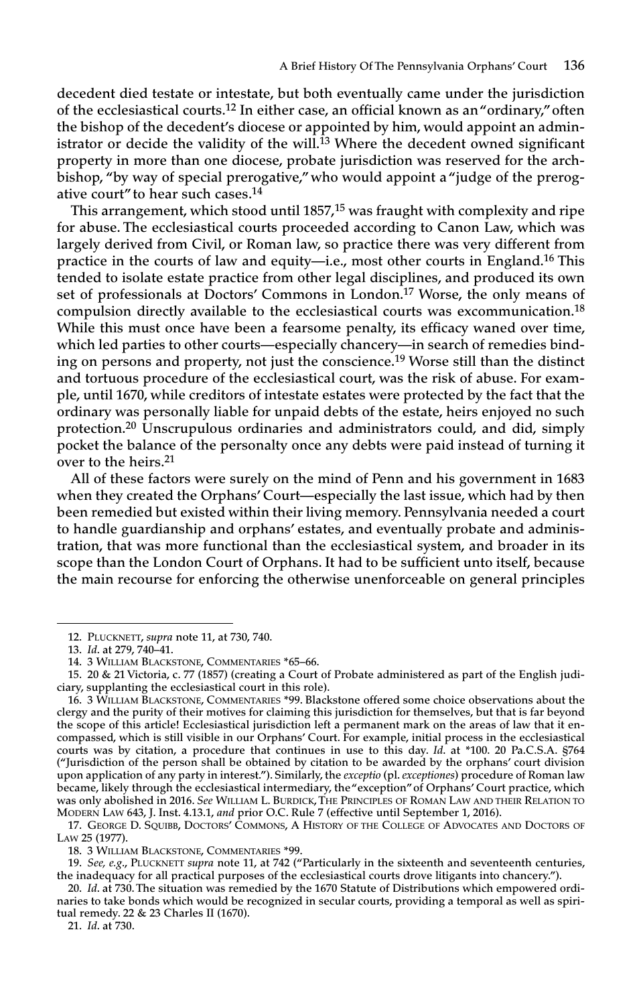**decedent died testate or intestate, but both eventually came under the jurisdiction of the ecclesiastical courts. <sup>12</sup> In either case, an official known as an"ordinary,"often the bishop of the decedent's diocese or appointed by him, would appoint an administrator or decide the validity of the will. <sup>13</sup> Where the decedent owned significant property in more than one diocese, probate jurisdiction was reserved for the archbishop, "by way of special prerogative,"who would appoint a "judge of the prerogative court" to hear such cases. 14**

**This arrangement, which stood until 1857, <sup>15</sup> was fraught with complexity and ripe for abuse. The ecclesiastical courts proceeded according to Canon Law, which was largely derived from Civil, or Roman law, so practice there was very different from practice in the courts of law and equity—i.e., most other courts in England. <sup>16</sup> This tended to isolate estate practice from other legal disciplines, and produced its own set of professionals at Doctors' Commons in London. <sup>17</sup> Worse, the only means of compulsion directly available to the ecclesiastical courts was excommunication. 18 While this must once have been a fearsome penalty, its efficacy waned over time, which led parties to other courts—especially chancery—in search of remedies binding on persons and property, not just the conscience. <sup>19</sup> Worse still than the distinct and tortuous procedure of the ecclesiastical court, was the risk of abuse. For example, until 1670, while creditors of intestate estates were protected by the fact that the ordinary was personally liable for unpaid debts of the estate, heirs enjoyed no such protection. <sup>20</sup> Unscrupulous ordinaries and administrators could, and did, simply pocket the balance of the personalty once any debts were paid instead of turning it over to the heirs. 21**

**All of these factors were surely on the mind of Penn and his government in 1683 when they created the Orphans' Court—especially the last issue, which had by then been remedied but existed within their living memory. Pennsylvania needed a court to handle guardianship and orphans' estates, and eventually probate and administration, that was more functional than the ecclesiastical system, and broader in its scope than the London Court of Orphans. It had to be sufficient unto itself, because the main recourse for enforcing the otherwise unenforceable on general principles**

**21.** *Id***. at 730.**

**<sup>12.</sup> PLUCKNETT,** *supra* **note 11, at 730, 740.**

**<sup>13.</sup>** *Id***. at 279, 740–41.**

**<sup>14.</sup> 3 WILLIAM BLACKSTONE, COMMENTARIES \*65–66.**

<sup>15. 20 &</sup>amp; 21 Victoria, c. 77 (1857) (creating a Court of Probate administered as part of the English judi**ciary, supplanting the ecclesiastical court in this role).**

**<sup>16.</sup> 3 WILLIAM BLACKSTONE, COMMENTARIES \*99. Blackstone offered some choice observations about the** clergy and the purity of their motives for claiming this jurisdiction for themselves, but that is far beyond the scope of this article! Ecclesiastical jurisdiction left a permanent mark on the areas of law that it en**compassed, which is still visible in our Orphans' Court. For example, initial process in the ecclesiastical** courts was by citation, a procedure that continues in use to this day. Id. at \*100. 20 Pa.C.S.A. §764 **("Jurisdiction of the person shall be obtained by citation to be awarded by the orphans' court division** upon application of any party in interest."). Similarly, the exceptio (pl. exceptiones) procedure of Roman law **became, likely through the ecclesiastical intermediary, the"exception"of Orphans' Court practice, which was only abolished in 2016.** *See* **WILLIAM L. BURDICK,THE PRINCIPLES OF ROMAN LAW AND THEIR RELATION TO MODERN LAW 643, J. Inst. 4.13.1,** *and* **prior O.C. Rule 7 (effective until September 1, 2016).**

**<sup>17.</sup> GEORGE D. SQUIBB, DOCTORS' COMMONS, A HISTORY OF THE COLLEGE OF ADVOCATES AND DOCTORS OF LAW 25 (1977).**

**<sup>18.</sup> 3 WILLIAM BLACKSTONE, COMMENTARIES \*99.**

**<sup>19.</sup>** *See, e.g***., PLUCKNETT** *supra* **note 11, at 742 ("Particularly in the sixteenth and seventeenth centuries, the inadequacy for all practical purposes of the ecclesiastical courts drove litigants into chancery.").**

**<sup>20.</sup>** *Id***. at 730.The situation was remedied by the 1670 Statute of Distributions which empowered ordi**naries to take bonds which would be recognized in secular courts, providing a temporal as well as spiri**tual remedy. 22 & 23 Charles II (1670).**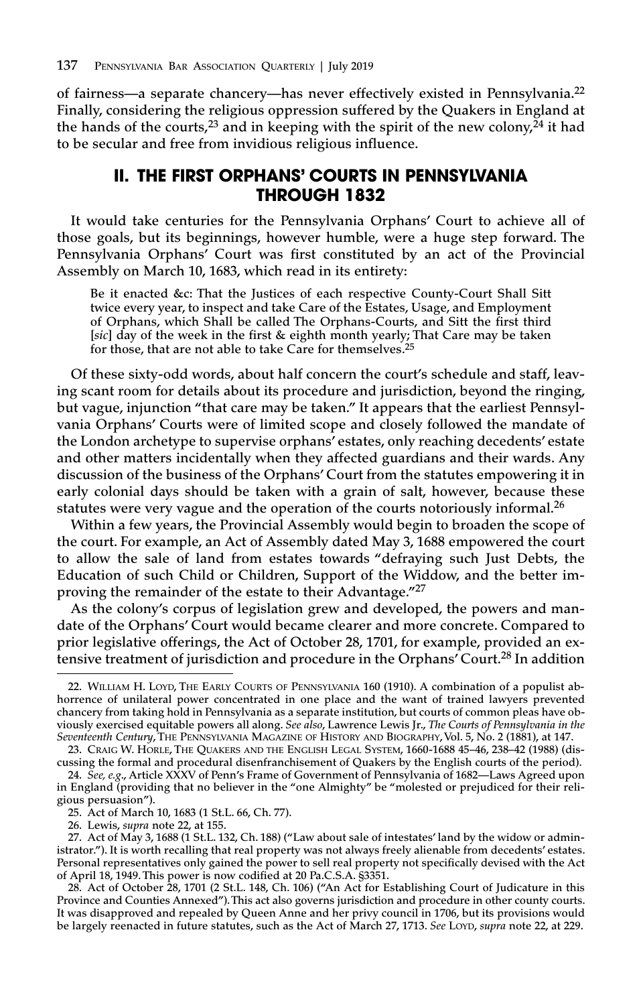**of fairness—a separate chancery—has never effectively existed in Pennsylvania. 22 Finally, considering the religious oppression suffered by the Quakers in England at the hands of the courts, <sup>23</sup> and in keeping with the spirit of the new colony, <sup>24</sup> it had to be secular and free from invidious religious influence.**

#### **II. THE FIRST ORPHANS' COURTS IN PENNSYLVANIA THROUGH 1832**

**It would take centuries for the Pennsylvania Orphans' Court to achieve all of those goals, but its beginnings, however humble, were a huge step forward. The Pennsylvania Orphans' Court was first constituted by an act of the Provincial Assembly on March 10, 1683, which read in its entirety:**

**Be it enacted &c: That the Justices of each respective County-Court Shall Sitt twice every year, to inspect and take Care of the Estates, Usage, and Employment of Orphans, which Shall be called The Orphans-Courts, and Sitt the first third [***sic***] day of the week in the first & eighth month yearly; That Care may be taken for those, that are not able to take Care for themselves. 25**

**Of these sixty-odd words, about half concern the court's schedule and staff, leaving scant room for details about its procedure and jurisdiction, beyond the ringing, but vague, injunction "that care may be taken." It appears that the earliest Pennsylvania Orphans' Courts were of limited scope and closely followed the mandate of the London archetype to supervise orphans' estates, only reaching decedents' estate and other matters incidentally when they affected guardians and their wards. Any discussion of the business of the Orphans' Court from the statutes empowering it in early colonial days should be taken with a grain of salt, however, because these statutes were very vague and the operation of the courts notoriously informal. 26**

**Within a few years, the Provincial Assembly would begin to broaden the scope of the court. For example, an Act of Assembly dated May 3, 1688 empowered the court to allow the sale of land from estates towards "defraying such Just Debts, the Education of such Child or Children, Support of the Widdow, and the better improving the remainder of the estate to their Advantage."<sup>27</sup>**

**As the colony's corpus of legislation grew and developed, the powers and mandate of the Orphans' Court would became clearer and more concrete. Compared to prior legislative offerings, the Act of October 28, 1701, for example, provided an extensive treatment of jurisdiction and procedure in the Orphans' Court. <sup>28</sup> In addition**

**<sup>22.</sup> WILLIAM H. LOYD, THE EARLY COURTS OF PENNSYLVANIA 160 (1910). A combination of a populist abhorrence of unilateral power concentrated in one place and the want of trained lawyers prevented chancery from taking hold in Pennsylvania as a separate institution, but courts of common pleas have ob**viously exercised equitable powers all along. See also, Lawrence Lewis Jr., The Courts of Pennsylvania in the *Seventeenth Century***,THE PENNSYLVANIA MAGAZINE OF HISTORY AND BIOGRAPHY,Vol. 5, No. 2 (1881), at 147.**

**<sup>23.</sup> CRAIG W. HORLE, THE QUAKERS AND THE ENGLISH LEGAL SYSTEM, 1660-1688 45–46, 238–42 (1988) (discussing the formal and procedural disenfranchisement of Quakers by the English courts of the period).**

**<sup>24.</sup>** *See, e.g***., Article XXXV of Penn's Frame of Government of Pennsylvania of 1682—Laws Agreed upon in England (providing that no believer in the "one Almighty" be "molested or prejudiced for their religious persuasion").**

**<sup>25.</sup> Act of March 10, 1683 (1 St.L. 66, Ch. 77).**

**<sup>26.</sup> Lewis,** *supra* **note 22, at 155.**

<sup>27.</sup> Act of May 3, 1688 (1 St.L. 132, Ch. 188) ("Law about sale of intestates' land by the widow or admin**istrator."). It is worth recalling that real property was not always freely alienable from decedents' estates. Personal representatives only gained the power to sell real property not specifically devised with the Act of April 18, 1949.This power is now codified at 20 Pa.C.S.A. §3351.**

<sup>28.</sup> Act of October 28, 1701 (2 St.L. 148, Ch. 106) ("An Act for Establishing Court of Judicature in this **Province and Counties Annexed").This act also governs jurisdiction and procedure in other county courts.** It was disapproved and repealed by Queen Anne and her privy council in 1706, but its provisions would be largely reenacted in future statutes, such as the Act of March 27, 1713. See LOYD, supra note 22, at 229.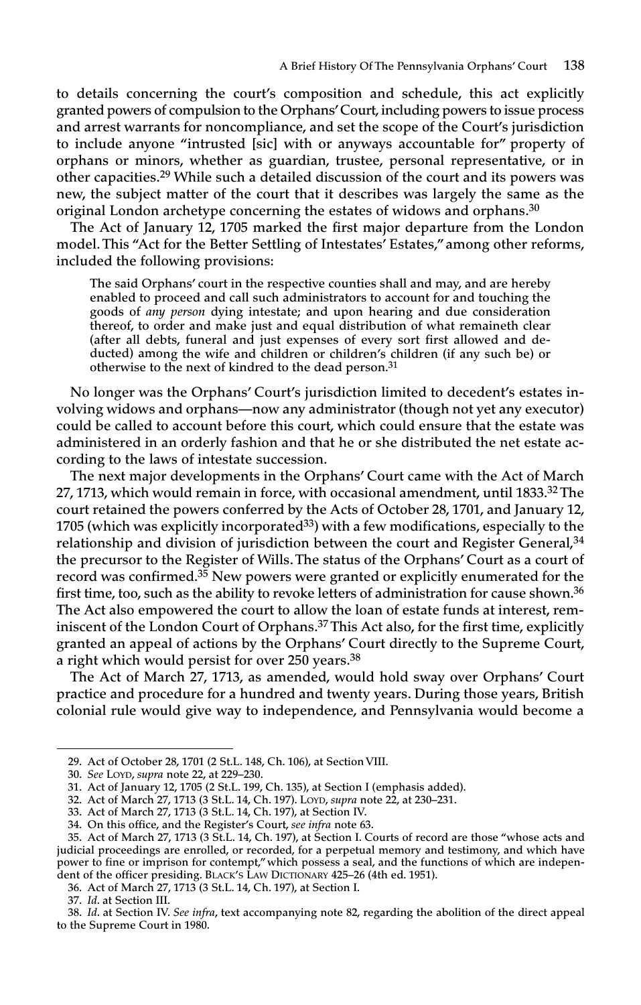**to details concerning the court's composition and schedule, this act explicitly granted powers of compulsion to the Orphans'Court,including powers to issue process and arrest warrants for noncompliance, and set the scope of the Court's jurisdiction to include anyone "intrusted [sic] with or anyways accountable for" property of orphans or minors, whether as guardian, trustee, personal representative, or in other capacities. <sup>29</sup> While such <sup>a</sup> detailed discussion of the court and its powers was new, the subject matter of the court that it describes was largely the same as the original London archetype concerning the estates of widows and orphans. 30**

**The Act of January 12, <sup>1705</sup> marked the first major departure from the London model.This "Act for the Better Settling of Intestates' Estates,"among other reforms, included the following provisions:**

**The said Orphans' court in the respective counties shall and may, and are hereby enabled to proceed and call such administrators to account for and touching the goods of** *any person* **dying intestate; and upon hearing and due consideration thereof, to order and make just and equal distribution of what remaineth clear (after all debts, funeral and just expenses of every sort first allowed and deducted) among the wife and children or children's children (if any such be) or otherwise to the next of kindred to the dead person. 31**

**No longer was the Orphans' Court's jurisdiction limited to decedent's estates involving widows and orphans—now any administrator (though not ye<sup>t</sup> any executor) could be called to account before this court, which could ensure that the estate was administered in an orderly fashion and that he or she distributed the net estate according to the laws of intestate succession.**

**The next major developments in the Orphans' Court came with the Act of March 27, 1713, which would remain in force, with occasional amendment, until 1833. <sup>32</sup>The court retained the powers conferred by the Acts of October 28, 1701, and January 12, <sup>1705</sup> (which was explicitly incorporated<sup>33</sup>) with <sup>a</sup> few modifications, especially to the relationship and division of jurisdiction between the court and Register General, 34 the precursor to the Register of Wills.The status of the Orphans' Court as <sup>a</sup> court of record was confirmed. <sup>35</sup> New powers were granted or explicitly enumerated for the first time, too, such as the ability to revoke letters of administration for cause shown. 36 The Act also empowered the court to allow the loan of estate funds at interest, reminiscent of the London Court of Orphans. <sup>37</sup>This Act also, for the first time, explicitly granted an appeal of actions by the Orphans' Court directly to the Supreme Court, <sup>a</sup> right which would persist for over <sup>250</sup> years. 38**

**The Act of March 27, 1713, as amended, would hold sway over Orphans' Court practice and procedure for <sup>a</sup> hundred and twenty years. During those years, British colonial rule would give way to independence, and Pennsylvania would become <sup>a</sup>**

**<sup>29.</sup> Act of October 28, 1701 (2 St.L. 148, Ch. 106), at Section VIII.**

**<sup>30.</sup>** *See* **LOYD,** *supra* **note 22, at 229–230.**

**<sup>31.</sup> Act of January 12, 1705 (2 St.L. 199, Ch. 135), at Section I (emphasis added).**

**<sup>32.</sup> Act of March 27, 1713 (3 St.L. 14, Ch. 197). LOYD,** *supra* **note 22, at 230–231.**

**<sup>33.</sup> Act of March 27, 1713 (3 St.L. 14, Ch. 197), at Section IV.**

**<sup>34.</sup> On this office, and the Register's Court,** *see infra* **note 63.**

<sup>35.</sup> Act of March 27, 1713 (3 St.L. 14, Ch. 197), at Section I. Courts of record are those "whose acts and **judicial proceedings are enrolled, or recorded, for a perpetual memory and testimony, and which have power to fine or imprison for contempt,"which possess a seal, and the functions of which are independent of the officer presiding. BLACK'S LAW DICTIONARY 425–26 (4th ed. 1951).**

**<sup>36.</sup> Act of March 27, 1713 (3 St.L. 14, Ch. 197), at Section I.**

**<sup>37.</sup>** *Id***. at Section III.**

<sup>38.</sup> Id. at Section IV. See infra, text accompanying note 82, regarding the abolition of the direct appeal **to the Supreme Court in 1980.**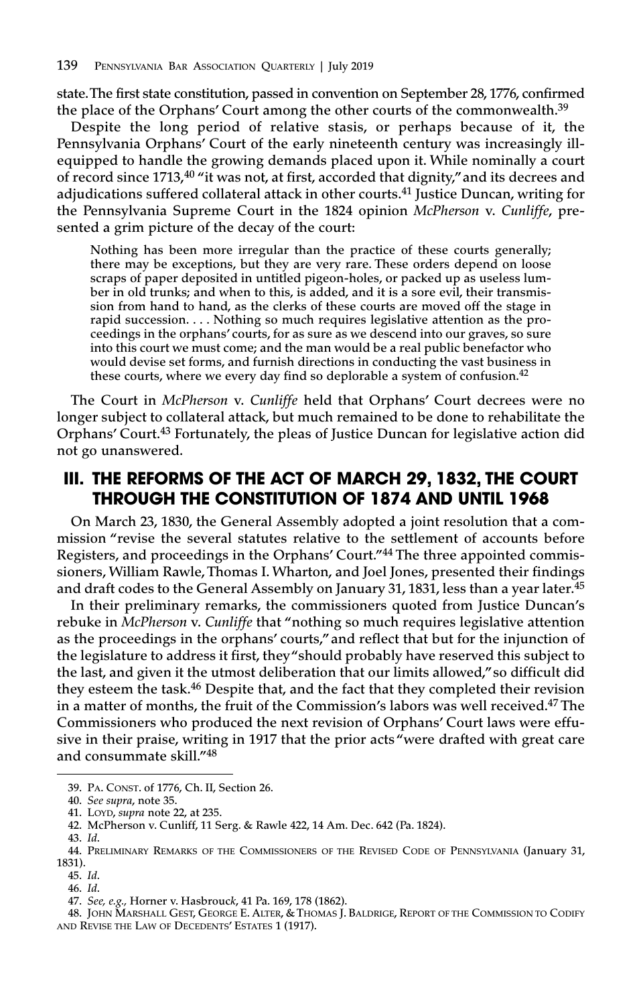**state.The first state constitution, passed in convention on September 28, 1776, confirmed the place of the Orphans' Court among the other courts of the commonwealth. 39**

**Despite the long period of relative stasis, or perhaps because of it, the Pennsylvania Orphans' Court of the early nineteenth century was increasingly illequipped to handle the growing demands placed upon it. While nominally a court of record since 1713, <sup>40</sup> "it was not, at first, accorded that dignity,"and its decrees and adjudications suffered collateral attack in other courts. <sup>41</sup> Justice Duncan, writing for the Pennsylvania Supreme Court in the 1824 opinion** *McPherson* **v.** *Cunliffe***, presented a grim picture of the decay of the court:**

**Nothing has been more irregular than the practice of these courts generally; there may be exceptions, but they are very rare. These orders depend on loose scraps of paper deposited in untitled pigeon-holes, or packed up as useless lumber in old trunks; and when to this, is added, and it is a sore evil, their transmission from hand to hand, as the clerks of these courts are moved off the stage in rapid succession. . . . Nothing so much requires legislative attention as the proceedings in the orphans' courts, for as sure as we descend into our graves, so sure into this court we must come; and the man would be a real public benefactor who would devise set forms, and furnish directions in conducting the vast business in these courts, where we every day find so deplorable a system of confusion. 42**

**The Court in** *McPherson* **v.** *Cunliffe* **held that Orphans' Court decrees were no longer subject to collateral attack, but much remained to be done to rehabilitate the Orphans' Court. <sup>43</sup> Fortunately, the pleas of Justice Duncan for legislative action did not go unanswered.**

# **III. THE REFORMS OF THE ACT OF MARCH 29, 1832, THE COURT THROUGH THE CONSTITUTION OF 1874 AND UNTIL 1968**

**On March 23, 1830, the General Assembly adopted a joint resolution that a commission "revise the several statutes relative to the settlement of accounts before Registers, and proceedings in the Orphans' Court."<sup>44</sup> The three appointed commissioners, William Rawle,Thomas I. Wharton, and Joel Jones, presented their findings and draft codes to the General Assembly on January 31, 1831, less than a year later. 45**

**In their preliminary remarks, the commissioners quoted from Justice Duncan's rebuke in** *McPherson* **v.** *Cunliffe* **that "nothing so much requires legislative attention as the proceedings in the orphans' courts,"and reflect that but for the injunction of the legislature to address it first, they"should probably have reserved this subject to the last, and given it the utmost deliberation that our limits allowed,"so difficult did they esteem the task. <sup>46</sup> Despite that, and the fact that they completed their revision in a matter of months, the fruit of the Commission's labors was well received. <sup>47</sup> The Commissioners who produced the next revision of Orphans' Court laws were effusive in their praise, writing in 1917 that the prior acts "were drafted with great care and consummate skill."48**

**<sup>39.</sup> PA. CONST. of 1776, Ch. II, Section 26.**

**<sup>40.</sup>** *See supra***, note 35.**

**<sup>41.</sup> LOYD,** *supra* **note 22, at 235.**

**<sup>42.</sup> McPherson v. Cunliff, 11 Serg. & Rawle 422, 14 Am. Dec. 642 (Pa. 1824).**

**<sup>43.</sup>** *Id***.**

**<sup>44.</sup> PRELIMINARY REMARKS OF THE COMMISSIONERS OF THE REVISED CODE OF PENNSYLVANIA (January 31, 1831).**

**<sup>45.</sup>** *Id***.**

**<sup>46.</sup>** *Id***.**

**<sup>47.</sup>** *See, e.g.,* **Horner v. Hasbrouc***k***, 41 Pa. 169, 178 (1862).**

**<sup>48.</sup> JOHN MARSHALL GEST, GEORGE E. ALTER, & THOMAS J. BALDRIGE, REPORT OF THE COMMISSION TO CODIFY AND REVISE THE LAW OF DECEDENTS' ESTATES 1 (1917).**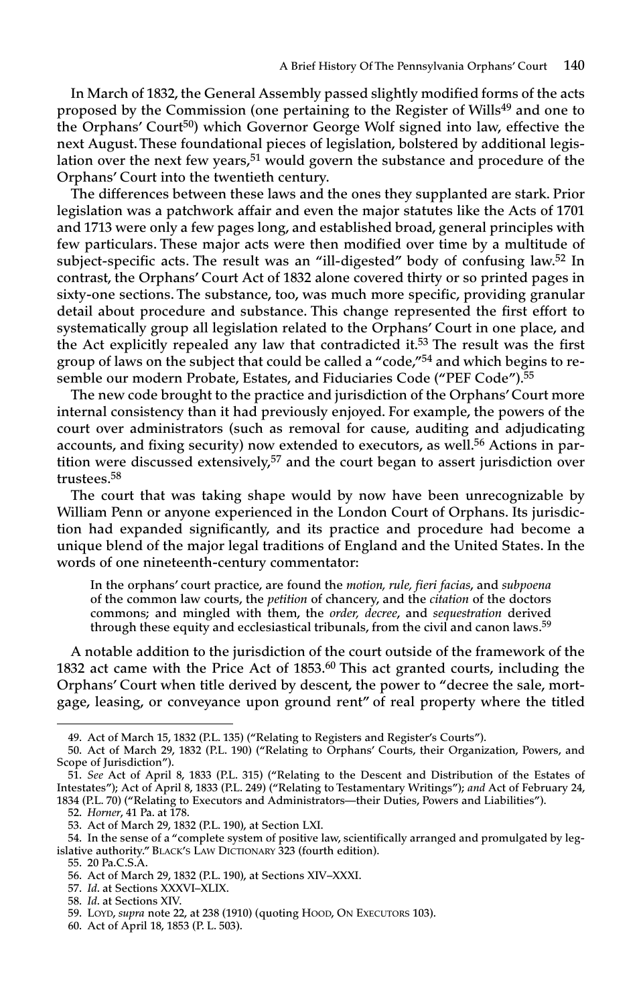**In March of 1832, the General Assembly passed slightly modified forms of the acts proposed by the Commission (one pertaining to the Register of Wills49 and one to the Orphans' Court50) which Governor George Wolf signed into law, effective the next August.These foundational pieces of legislation, bolstered by additional legislation over the next few years, <sup>51</sup> would govern the substance and procedure of the Orphans' Court into the twentieth century.**

**The differences between these laws and the ones they supplanted are stark. Prior legislation was a patchwork affair and even the major statutes like the Acts of 1701 and 1713 were only a few pages long, and established broad, general principles with few particulars. These major acts were then modified over time by a multitude of subject-specific acts. The result was an "ill-digested" body of confusing law. <sup>52</sup> In contrast, the Orphans' Court Act of 1832 alone covered thirty or so printed pages in sixty-one sections. The substance, too, was much more specific, providing granular detail about procedure and substance. This change represented the first effort to systematically group all legislation related to the Orphans' Court in one place, and the Act explicitly repealed any law that contradicted it. <sup>53</sup> The result was the first group of laws on the subject that could be called a "code,"<sup>54</sup> and which begins to resemble our modern Probate, Estates, and Fiduciaries Code ("PEF Code"). 55**

**The new code brought to the practice and jurisdiction of the Orphans'Court more internal consistency than it had previously enjoyed. For example, the powers of the court over administrators (such as removal for cause, auditing and adjudicating accounts, and fixing security) now extended to executors, as well. <sup>56</sup> Actions in partition were discussed extensively, <sup>57</sup> and the court began to assert jurisdiction over trustees. 58**

**The court that was taking shape would by now have been unrecognizable by William Penn or anyone experienced in the London Court of Orphans. Its jurisdiction had expanded significantly, and its practice and procedure had become a unique blend of the major legal traditions of England and the United States. In the words of one nineteenth-century commentator:**

**In the orphans' court practice, are found the** *motion, rule, fieri facias***, and** *subpoena* **of the common law courts, the** *petition* **of chancery, and the** *citation* **of the doctors commons; and mingled with them, the** *order, decree***, and** *sequestration* **derived through these equity and ecclesiastical tribunals, from the civil and canon laws. 59**

**A notable addition to the jurisdiction of the court outside of the framework of the 1832 act came with the Price Act of 1853. <sup>60</sup> This act granted courts, including the Orphans' Court when title derived by descent, the power to "decree the sale, mortgage, leasing, or conveyance upon ground rent" of real property where the titled**

**<sup>49.</sup> Act of March 15, 1832 (P.L. 135) ("Relating to Registers and Register's Courts").**

**<sup>50.</sup> Act of March 29, 1832 (P.L. 190) ("Relating to Orphans' Courts, their Organization, Powers, and Scope of Jurisdiction").**

<sup>51.</sup> See Act of April 8, 1833 (P.L. 315) ("Relating to the Descent and Distribution of the Estates of Intestates"); Act of April 8, 1833 (P.L. 249) ("Relating to Testamentary Writings"); and Act of February 24, **1834 (P.L. 70) ("Relating to Executors and Administrators—their Duties, Powers and Liabilities").**

**<sup>52.</sup>** *Horner***, 41 Pa. at 178.**

**<sup>53.</sup> Act of March 29, 1832 (P.L. 190), at Section LXI.**

**<sup>54.</sup> In the sense of a "complete system of positive law, scientifically arranged and promulgated by legislative authority." BLACK'S LAW DICTIONARY 323 (fourth edition).**

**<sup>55.</sup> 20 Pa.C.S.A.**

**<sup>56.</sup> Act of March 29, 1832 (P.L. 190), at Sections XIV–XXXI.**

**<sup>57.</sup>** *Id***. at Sections XXXVI–XLIX.**

**<sup>58.</sup>** *Id***. at Sections XIV.**

**<sup>59.</sup> LOYD,** *supra* **note 22, at 238 (1910) (quoting HOOD, ON EXECUTORS 103).**

**<sup>60.</sup> Act of April 18, 1853 (P. L. 503).**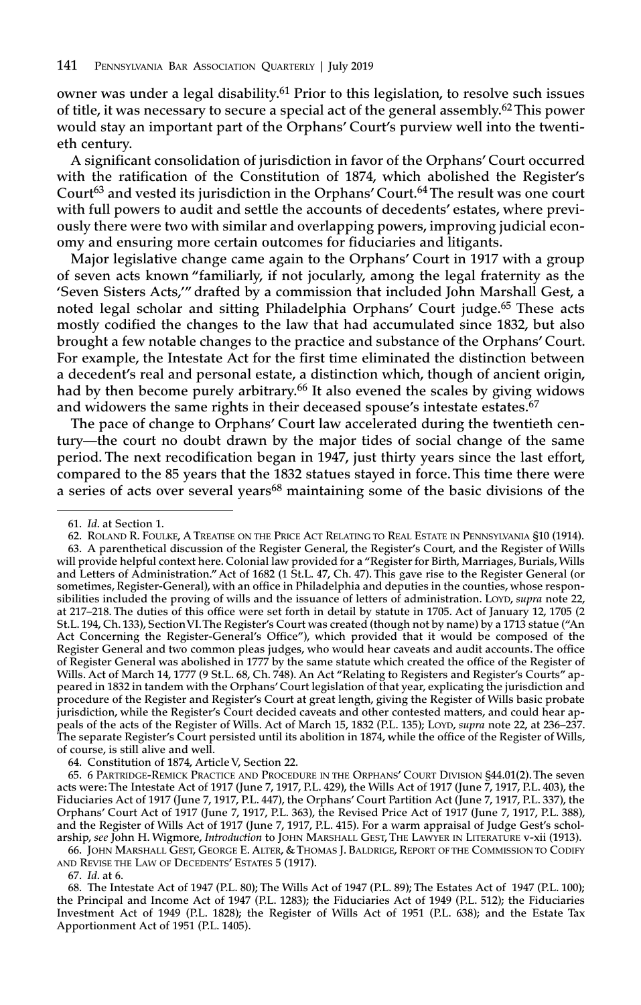**owner was under a legal disability. <sup>61</sup> Prior to this legislation, to resolve such issues of title, it was necessary to secure a special act of the general assembly. 62This power would stay an important part of the Orphans' Court's purview well into the twentieth century.**

**A significant consolidation of jurisdiction in favor of the Orphans' Court occurred with the ratification of the Constitution of 1874, which abolished the Register's Court<sup>63</sup> and vested its jurisdiction in the Orphans' Court. 64The result was one court with full powers to audit and settle the accounts of decedents' estates, where previously there were two with similar and overlapping powers, improving judicial economy and ensuring more certain outcomes for fiduciaries and litigants.**

**Major legislative change came again to the Orphans' Court in 1917 with a group of seven acts known "familiarly, if not jocularly, among the legal fraternity as the 'Seven Sisters Acts,'" drafted by a commission that included John Marshall Gest, a noted legal scholar and sitting Philadelphia Orphans' Court judge. <sup>65</sup> These acts mostly codified the changes to the law that had accumulated since 1832, but also brought a few notable changes to the practice and substance of the Orphans' Court. For example, the Intestate Act for the first time eliminated the distinction between a decedent's real and personal estate, a distinction which, though of ancient origin, had by then become purely arbitrary. <sup>66</sup> It also evened the scales by giving widows and widowers the same rights in their deceased spouse's intestate estates. 67**

**The pace of change to Orphans' Court law accelerated during the twentieth century—the court no doubt drawn by the major tides of social change of the same period. The next recodification began in 1947, just thirty years since the last effort, compared to the 85 years that the 1832 statues stayed in force.This time there were a series of acts over several years68 maintaining some of the basic divisions of the**

**64. Constitution of 1874, Article V, Section 22.**

**65. 6 PARTRIDGE-REMICK PRACTICE AND PROCEDURE IN THE ORPHANS' COURT DIVISION §44.01(2).The seven** acts were: The Intestate Act of 1917 (June 7, 1917, P.L. 429), the Wills Act of 1917 (June 7, 1917, P.L. 403), the Fiduciaries Act of 1917 (June 7, 1917, P.L. 447), the Orphans' Court Partition Act (June 7, 1917, P.L. 337), the Orphans' Court Act of 1917 (June 7, 1917, P.L. 363), the Revised Price Act of 1917 (June 7, 1917, P.L. 388), and the Register of Wills Act of 1917 (June 7, 1917, P.L. 415). For a warm appraisal of Judge Gest's schol**arship,** *see* **John H. Wigmore,** *Introduction* **to JOHN MARSHALL GEST,THE LAWYER IN LITERATURE v-xii (1913).**

**66. JOHN MARSHALL GEST, GEORGE E. ALTER, & THOMAS J. BALDRIGE, REPORT OF THE COMMISSION TO CODIFY AND REVISE THE LAW OF DECEDENTS' ESTATES 5 (1917).**

**67.** *Id***. at 6.**

68. The Intestate Act of 1947 (P.L. 80); The Wills Act of 1947 (P.L. 89); The Estates Act of 1947 (P.L. 100); the Principal and Income Act of 1947 (P.L. 1283); the Fiduciaries Act of 1949 (P.L. 512); the Fiduciaries Investment Act of 1949 (P.L. 1828); the Register of Wills Act of 1951 (P.L. 638); and the Estate Tax **Apportionment Act of 1951 (P.L. 1405).**

**<sup>61.</sup>** *Id***. at Section 1.**

<sup>62.</sup> ROLAND R. FOULKE, A TREATISE ON THE PRICE ACT RELATING TO REAL ESTATE IN PENNSYLVANIA §10 (1914). **63. A parenthetical discussion of the Register General, the Register's Court, and the Register of Wills will provide helpful context here. Colonial law provided for a "Register for Birth, Marriages, Burials,Wills** and Letters of Administration." Act of 1682 (1 St.L. 47, Ch. 47). This gave rise to the Register General (or **sometimes, Register-General), with an office in Philadelphia and deputies in the counties, whose respon**sibilities included the proving of wills and the issuance of letters of administration. LOYD, supra note 22, at 217-218. The duties of this office were set forth in detail by statute in 1705. Act of January 12, 1705 (2 St.L. 194, Ch. 133), Section VI. The Register's Court was created (though not by name) by a 1713 statue ("An **Act Concerning the Register-General's Office"), which provided that it would be composed of the Register General and two common pleas judges, who would hear caveats and audit accounts.The office** of Register General was abolished in 1777 by the same statute which created the office of the Register of Wills. Act of March 14, 1777 (9 St.L. 68, Ch. 748). An Act "Relating to Registers and Register's Courts" ap**peared in 1832 in tandem with the Orphans'Court legislation of that year, explicating the jurisdiction and** procedure of the Register and Register's Court at great length, giving the Register of Wills basic probate **jurisdiction, while the Register's Court decided caveats and other contested matters, and could hear ap**peals of the acts of the Register of Wills. Act of March 15, 1832 (P.L. 135); LOYD, supra note 22, at 236-237. The separate Register's Court persisted until its abolition in 1874, while the office of the Register of Wills, **of course, is still alive and well.**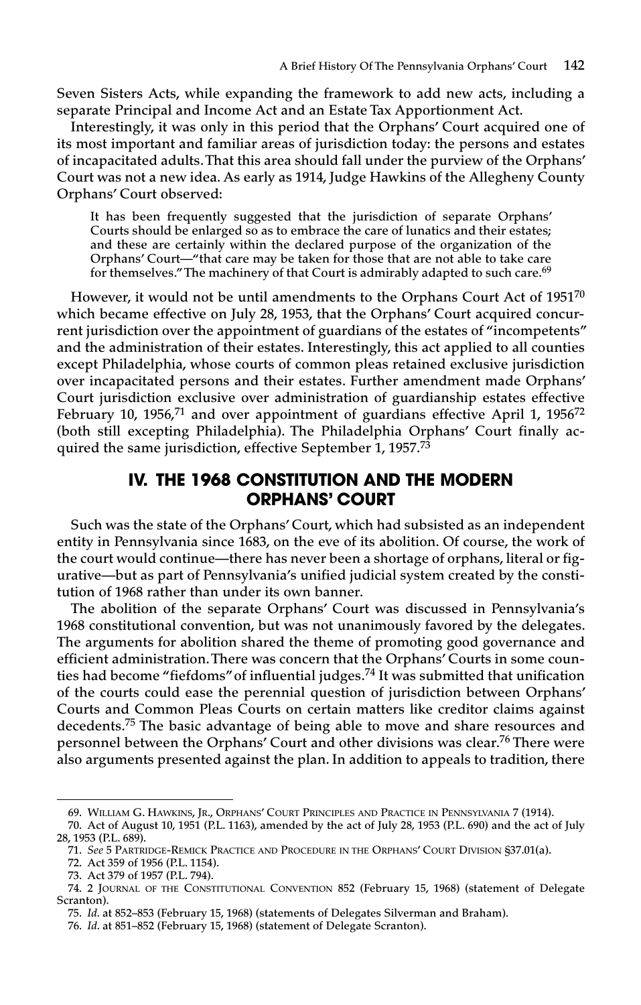**Seven Sisters Acts, while expanding the framework to add new acts, including a separate Principal and Income Act and an Estate Tax Apportionment Act.**

**Interestingly, it was only in this period that the Orphans' Court acquired one of its most important and familiar areas of jurisdiction today: the persons and estates of incapacitated adults.That this area should fall under the purview of the Orphans' Court was not a new idea. As early as 1914, Judge Hawkins of the Allegheny County Orphans' Court observed:**

**It has been frequently suggested that the jurisdiction of separate Orphans' Courts should be enlarged so as to embrace the care of lunatics and their estates; and these are certainly within the declared purpose of the organization of the Orphans' Court—"that care may be taken for those that are not able to take care for themselves."The machinery of that Court is admirably adapted to such care. 69**

**However, it would not be until amendments to the Orphans Court Act of 1951<sup>70</sup> which became effective on July 28, 1953, that the Orphans' Court acquired concurrent jurisdiction over the appointment of guardians of the estates of "incompetents" and the administration of their estates. Interestingly, this act applied to all counties except Philadelphia, whose courts of common pleas retained exclusive jurisdiction over incapacitated persons and their estates. Further amendment made Orphans' Court jurisdiction exclusive over administration of guardianship estates effective February 10, 1956, <sup>71</sup> and over appointment of guardians effective April 1, 1956<sup>72</sup> (both still excepting Philadelphia). The Philadelphia Orphans' Court finally acquired the same jurisdiction, effective September 1, 1957. 73**

# **IV. THE 1968 CONSTITUTION AND THE MODERN ORPHANS' COURT**

**Such was the state of the Orphans' Court, which had subsisted as an independent entity in Pennsylvania since 1683, on the eve of its abolition. Of course, the work of the court would continue—there has never been a shortage of orphans, literal or figurative—but as part of Pennsylvania's unified judicial system created by the constitution of 1968 rather than under its own banner.**

**The abolition of the separate Orphans' Court was discussed in Pennsylvania's 1968 constitutional convention, but was not unanimously favored by the delegates. The arguments for abolition shared the theme of promoting good governance and efficient administration.There was concern that the Orphans' Courts in some counties had become "fiefdoms"of influential judges. <sup>74</sup> It was submitted that unification of the courts could ease the perennial question of jurisdiction between Orphans' Courts and Common Pleas Courts on certain matters like creditor claims against decedents. <sup>75</sup> The basic advantage of being able to move and share resources and personnel between the Orphans' Court and other divisions was clear. <sup>76</sup> There were also arguments presented against the plan. In addition to appeals to tradition, there**

**<sup>69.</sup> WILLIAM G. HAWKINS, JR., ORPHANS' COURT PRINCIPLES AND PRACTICE IN PENNSYLVANIA 7 (1914).**

<sup>70.</sup> Act of August 10, 1951 (P.L. 1163), amended by the act of July 28, 1953 (P.L. 690) and the act of July **28, 1953 (P.L. 689).**

**<sup>71.</sup>** *See* **5 PARTRIDGE-REMICK PRACTICE AND PROCEDURE IN THE ORPHANS' COURT DIVISION §37.01(a).**

**<sup>72.</sup> Act 359 of 1956 (P.L. 1154).**

**<sup>73.</sup> Act 379 of 1957 (P.L. 794).**

**<sup>74.</sup> 2 JOURNAL OF THE CONSTITUTIONAL CONVENTION 852 (February 15, 1968) (statement of Delegate Scranton).**

**<sup>75.</sup>** *Id***. at 852–853 (February 15, 1968) (statements of Delegates Silverman and Braham).**

**<sup>76.</sup>** *Id***. at 851–852 (February 15, 1968) (statement of Delegate Scranton).**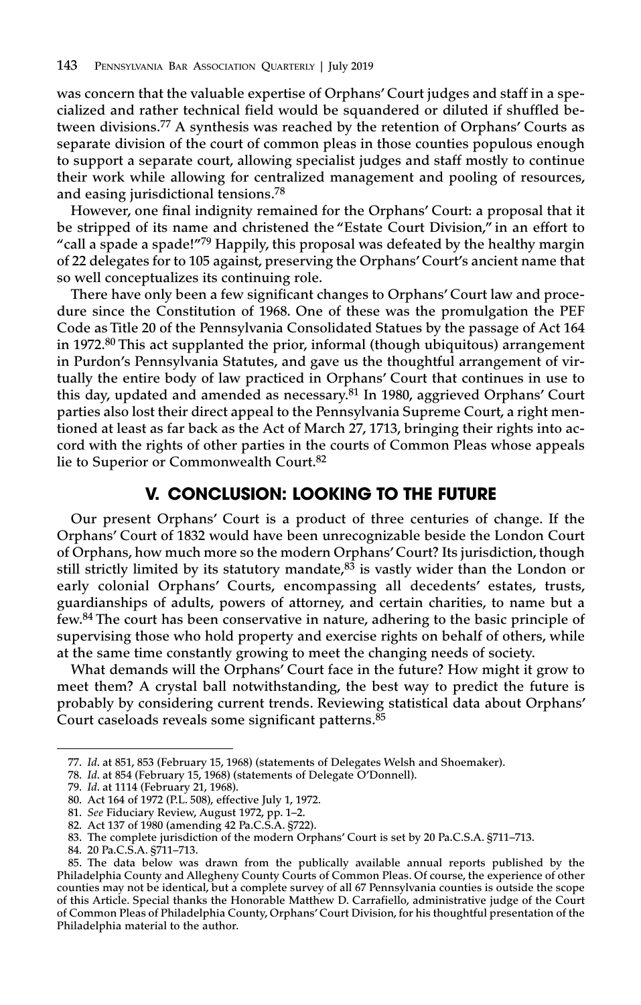**was concern that the valuable expertise of Orphans' Court judges and staff in a specialized and rather technical field would be squandered or diluted if shuffled between divisions. <sup>77</sup> A synthesis was reached by the retention of Orphans' Courts as separate division of the court of common pleas in those counties populous enough to support a separate court, allowing specialist judges and staff mostly to continue their work while allowing for centralized management and pooling of resources, and easing jurisdictional tensions. 78**

**However, one final indignity remained for the Orphans' Court: a proposal that it be stripped of its name and christened the "Estate Court Division," in an effort to "call a spade a spade!"79 Happily, this proposal was defeated by the healthy margin of 22 delegates for to 105 against, preserving the Orphans'Court's ancient name that so well conceptualizes its continuing role.**

**There have only been a few significant changes to Orphans' Court law and procedure since the Constitution of 1968. One of these was the promulgation the PEF Code as Title 20 of the Pennsylvania Consolidated Statues by the passage of Act 164 in 1972. <sup>80</sup> This act supplanted the prior, informal (though ubiquitous) arrangement in Purdon's Pennsylvania Statutes, and gave us the thoughtful arrangement of virtually the entire body of law practiced in Orphans' Court that continues in use to this day, updated and amended as necessary. <sup>81</sup> In 1980, aggrieved Orphans' Court parties also lost their direct appeal to the Pennsylvania Supreme Court, a right mentioned at least as far back as the Act of March 27, 1713, bringing their rights into accord with the rights of other parties in the courts of Common Pleas whose appeals lie to Superior or Commonwealth Court. 82**

#### **V. CONCLUSION: LOOKING TO THE FUTURE**

**Our present Orphans' Court is a product of three centuries of change. If the Orphans' Court of 1832 would have been unrecognizable beside the London Court of Orphans, how much more so the modern Orphans'Court? Its jurisdiction, though still strictly limited by its statutory mandate, <sup>83</sup> is vastly wider than the London or early colonial Orphans' Courts, encompassing all decedents' estates, trusts, guardianships of adults, powers of attorney, and certain charities, to name but a few. <sup>84</sup> The court has been conservative in nature, adhering to the basic principle of supervising those who hold property and exercise rights on behalf of others, while at the same time constantly growing to meet the changing needs of society.**

**What demands will the Orphans' Court face in the future? How might it grow to meet them? A crystal ball notwithstanding, the best way to predict the future is probably by considering current trends. Reviewing statistical data about Orphans' Court caseloads reveals some significant patterns. 85**

**<sup>77.</sup>** *Id***. at 851, 853 (February 15, 1968) (statements of Delegates Welsh and Shoemaker).**

**<sup>78.</sup>** *Id***. at 854 (February 15, 1968) (statements of Delegate O'Donnell).**

**<sup>79.</sup>** *Id***. at 1114 (February 21, 1968).**

**<sup>80.</sup> Act 164 of 1972 (P.L. 508), effective July 1, 1972.**

**<sup>81.</sup>** *See* **Fiduciary Review, August 1972, pp. 1–2.**

**<sup>82.</sup> Act 137 of 1980 (amending 42 Pa.C.S.A. §722).**

**<sup>83.</sup> The complete jurisdiction of the modern Orphans' Court is set by 20 Pa.C.S.A. §711–713.**

**<sup>84.</sup> 20 Pa.C.S.A. §711–713.**

**<sup>85.</sup> The data below was drawn from the publically available annual reports published by the Philadelphia County and Allegheny County Courts of Common Pleas. Of course, the experience of other** counties may not be identical, but a complete survey of all 67 Pennsylvania counties is outside the scope **of this Article. Special thanks the Honorable Matthew D. Carrafiello, administrative judge of the Court of Common Pleas of Philadelphia County, Orphans'Court Division, for his thoughtful presentation of the Philadelphia material to the author.**